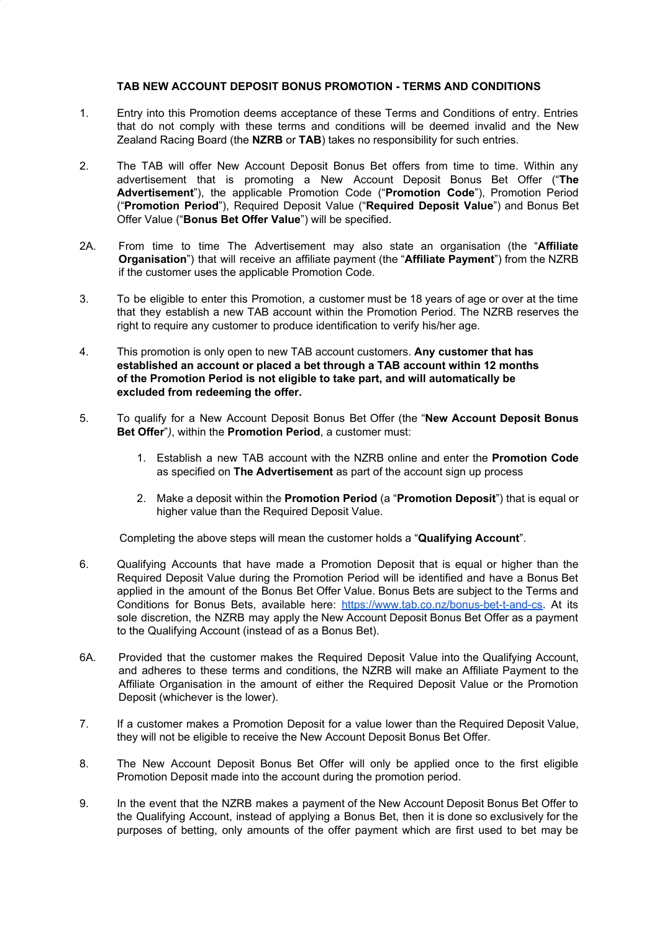## **TAB NEW ACCOUNT DEPOSIT BONUS PROMOTION - TERMS AND CONDITIONS**

- 1. Entry into this Promotion deems acceptance of these Terms and Conditions of entry. Entries that do not comply with these terms and conditions will be deemed invalid and the New Zealand Racing Board (the **NZRB** or **TAB**) takes no responsibility for such entries.
- 2. The TAB will offer New Account Deposit Bonus Bet offers from time to time. Within any advertisement that is promoting a New Account Deposit Bonus Bet Offer ("**The Advertisement**"), the applicable Promotion Code ("**Promotion Code**"), Promotion Period ("**Promotion Period**"), Required Deposit Value ("**Required Deposit Value**") and Bonus Bet Offer Value ("**Bonus Bet Offer Value**") will be specified.
- 2A. From time to time The Advertisement may also state an organisation (the "**Affiliate Organisation**") that will receive an affiliate payment (the "**Affiliate Payment**") from the NZRB if the customer uses the applicable Promotion Code.
- 3. To be eligible to enter this Promotion, a customer must be 18 years of age or over at the time that they establish a new TAB account within the Promotion Period. The NZRB reserves the right to require any customer to produce identification to verify his/her age.
- 4. This promotion is only open to new TAB account customers. **Any customer that has established an account or placed a bet through a TAB account within 12 months of the Promotion Period is not eligible to take part, and will automatically be excluded from redeeming the offer.**
- 5. To qualify for a New Account Deposit Bonus Bet Offer (the "**New Account Deposit Bonus Bet Offer**"*)*, within the **Promotion Period**, a customer must:
	- 1. Establish a new TAB account with the NZRB online and enter the **Promotion Code** as specified on **The Advertisement** as part of the account sign up process
	- 2. Make a deposit within the **Promotion Period** (a "**Promotion Deposit**") that is equal or higher value than the Required Deposit Value.

Completing the above steps will mean the customer holds a "**Qualifying Account**".

- 6. Qualifying Accounts that have made a Promotion Deposit that is equal or higher than the Required Deposit Value during the Promotion Period will be identified and have a Bonus Bet applied in the amount of the Bonus Bet Offer Value. Bonus Bets are subject to the Terms and Conditions for Bonus Bets, available here: [https://www.tab.co.nz/bonus-bet-t-and-cs.](https://www.tab.co.nz/bonus-bet-t-and-cs) At its sole discretion, the NZRB may apply the New Account Deposit Bonus Bet Offer as a payment to the Qualifying Account (instead of as a Bonus Bet).
- 6A. Provided that the customer makes the Required Deposit Value into the Qualifying Account, and adheres to these terms and conditions, the NZRB will make an Affiliate Payment to the Affiliate Organisation in the amount of either the Required Deposit Value or the Promotion Deposit (whichever is the lower).
- 7. If a customer makes a Promotion Deposit for a value lower than the Required Deposit Value, they will not be eligible to receive the New Account Deposit Bonus Bet Offer.
- 8. The New Account Deposit Bonus Bet Offer will only be applied once to the first eligible Promotion Deposit made into the account during the promotion period.
- 9. In the event that the NZRB makes a payment of the New Account Deposit Bonus Bet Offer to the Qualifying Account, instead of applying a Bonus Bet, then it is done so exclusively for the purposes of betting, only amounts of the offer payment which are first used to bet may be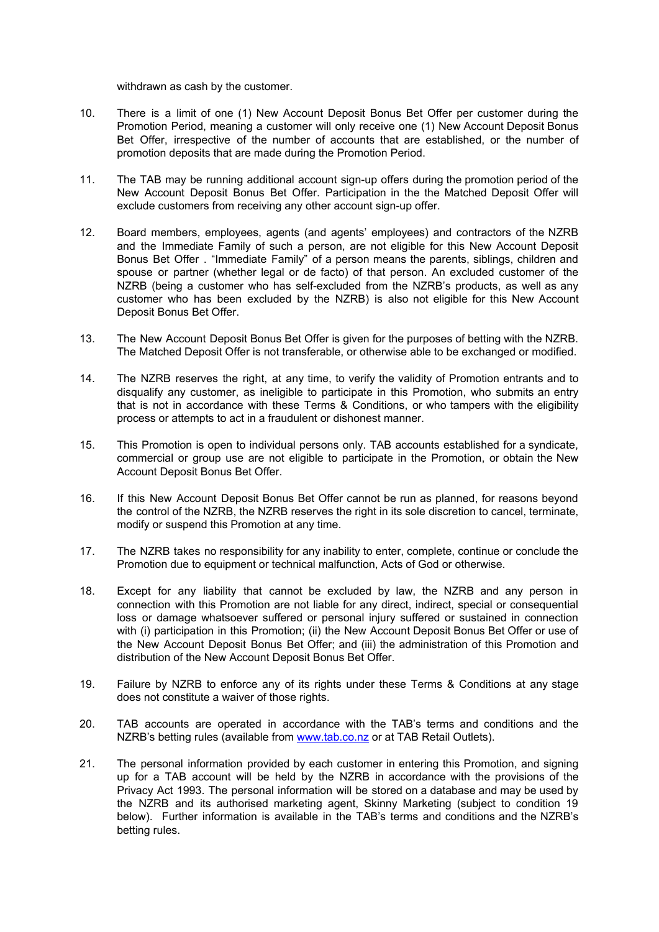withdrawn as cash by the customer.

- 10. There is a limit of one (1) New Account Deposit Bonus Bet Offer per customer during the Promotion Period, meaning a customer will only receive one (1) New Account Deposit Bonus Bet Offer, irrespective of the number of accounts that are established, or the number of promotion deposits that are made during the Promotion Period.
- 11. The TAB may be running additional account sign-up offers during the promotion period of the New Account Deposit Bonus Bet Offer. Participation in the the Matched Deposit Offer will exclude customers from receiving any other account sign-up offer.
- 12. Board members, employees, agents (and agents' employees) and contractors of the NZRB and the Immediate Family of such a person, are not eligible for this New Account Deposit Bonus Bet Offer . "Immediate Family" of a person means the parents, siblings, children and spouse or partner (whether legal or de facto) of that person. An excluded customer of the NZRB (being a customer who has self-excluded from the NZRB's products, as well as any customer who has been excluded by the NZRB) is also not eligible for this New Account Deposit Bonus Bet Offer.
- 13. The New Account Deposit Bonus Bet Offer is given for the purposes of betting with the NZRB. The Matched Deposit Offer is not transferable, or otherwise able to be exchanged or modified.
- 14. The NZRB reserves the right, at any time, to verify the validity of Promotion entrants and to disqualify any customer, as ineligible to participate in this Promotion, who submits an entry that is not in accordance with these Terms & Conditions, or who tampers with the eligibility process or attempts to act in a fraudulent or dishonest manner.
- 15. This Promotion is open to individual persons only. TAB accounts established for a syndicate, commercial or group use are not eligible to participate in the Promotion, or obtain the New Account Deposit Bonus Bet Offer.
- 16. If this New Account Deposit Bonus Bet Offer cannot be run as planned, for reasons beyond the control of the NZRB, the NZRB reserves the right in its sole discretion to cancel, terminate, modify or suspend this Promotion at any time.
- 17. The NZRB takes no responsibility for any inability to enter, complete, continue or conclude the Promotion due to equipment or technical malfunction, Acts of God or otherwise.
- 18. Except for any liability that cannot be excluded by law, the NZRB and any person in connection with this Promotion are not liable for any direct, indirect, special or consequential loss or damage whatsoever suffered or personal injury suffered or sustained in connection with (i) participation in this Promotion; (ii) the New Account Deposit Bonus Bet Offer or use of the New Account Deposit Bonus Bet Offer; and (iii) the administration of this Promotion and distribution of the New Account Deposit Bonus Bet Offer.
- 19. Failure by NZRB to enforce any of its rights under these Terms & Conditions at any stage does not constitute a waiver of those rights.
- 20. TAB accounts are operated in accordance with the TAB's terms and conditions and the NZRB's betting rules (available from [www.tab.co.nz](http://www.tab.co.nz/) or at TAB Retail Outlets).
- 21. The personal information provided by each customer in entering this Promotion, and signing up for a TAB account will be held by the NZRB in accordance with the provisions of the Privacy Act 1993. The personal information will be stored on a database and may be used by the NZRB and its authorised marketing agent, Skinny Marketing (subject to condition 19 below). Further information is available in the TAB's terms and conditions and the NZRB's betting rules.